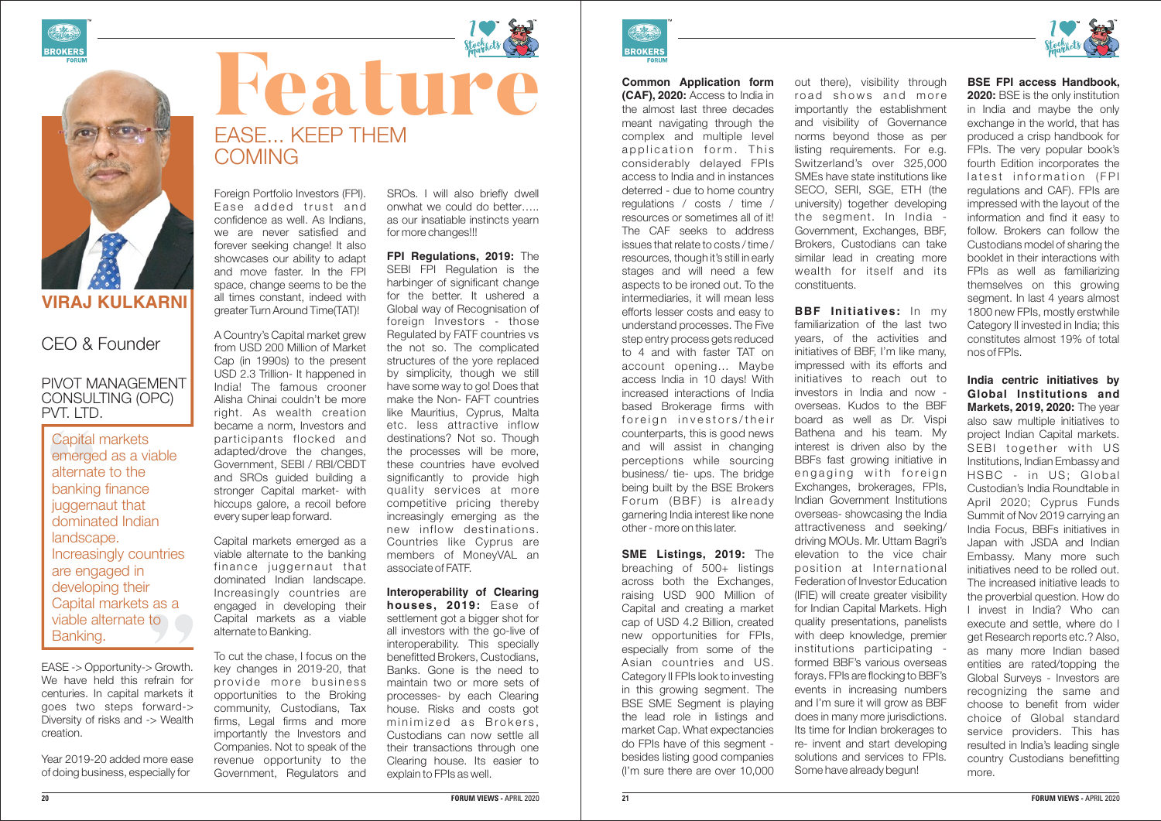**BSE FPI access Handbook, 2020:** BSE is the only institution in India and maybe the only exchange in the world, that has produced a crisp handbook for FPIs. The very popular book's fourth Edition incorporates the latest information (FPI regulations and CAF). FPIs are impressed with the layout of the information and find it easy to follow. Brokers can follow the Custodians model of sharing the booklet in their interactions with FPIs as well as familiarizing themselves on this growing segment. In last 4 years almost 1800 new FPIs, mostly erstwhile Category II invested in India; this constitutes almost 19% of total nos of FPIs.

**India centric initiatives by Global Institutions and Markets, 2019, 2020:** The year also saw multiple initiatives to project Indian Capital markets. SEBI together with US Institutions, Indian Embassy and HSBC - in US; Global Custodian's India Roundtable in April 2020; Cyprus Funds Summit of Nov 2019 carrying an India Focus, BBFs initiatives in Japan with JSDA and Indian Embassy. Many more such initiatives need to be rolled out. The increased initiative leads to the proverbial question. How do I invest in India? Who can execute and settle, where do I get Research reports etc.? Also, as many more Indian based entities are rated/topping the Global Surveys - Investors are recognizing the same and choose to benefit from wider choice of Global standard service providers. This has resulted in India's leading single country Custodians benefitting more.

out there), visibility through road shows and more importantly the establishment and visibility of Governance norms beyond those as per listing requirements. For e.g. Switzerland's over 325,000 SMEs have state institutions like SECO, SERI, SGE, ETH (the university) together developing the segment. In India - Government, Exchanges, BBF, Brokers, Custodians can take similar lead in creating more wealth for itself and its constituents.

**BBF Initiatives:** In my familiarization of the last two years, of the activities and initiatives of BBF, I'm like many, impressed with its efforts and initiatives to reach out to investors in India and now overseas. Kudos to the BBF board as well as Dr. Vispi Bathena and his team. My interest is driven also by the BBFs fast growing initiative in engaging with foreign Exchanges, brokerages, FPIs, Indian Government Institutions overseas- showcasing the India attractiveness and seeking/ driving MOUs. Mr. Uttam Bagri's elevation to the vice chair position at International Federation of Investor Education (IFIE) will create greater visibility for Indian Capital Markets. High quality presentations, panelists with deep knowledge, premier institutions participating formed BBF's various overseas forays. FPIs are flocking to BBF's events in increasing numbers and I'm sure it will grow as BBF does in many more jurisdictions. Its time for Indian brokerages to re- invent and start developing solutions and services to FPIs. Some have already begun!



**Common Application form (CAF), 2020:** Access to India in the almost last three decades meant navigating through the complex and multiple level application form. This considerably delayed FPIs access to India and in instances deterred - due to home country regulations / costs / time / resources or sometimes all of it! The CAF seeks to address issues that relate to costs / time / resources, though it's still in early stages and will need a few aspects to be ironed out. To the intermediaries, it will mean less efforts lesser costs and easy to understand processes. The Five step entry process gets reduced to 4 and with faster TAT on account opening… Maybe access India in 10 days! With increased interactions of India based Brokerage firms with foreign investors/their counterparts, this is good news and will assist in changing perceptions while sourcing business/ tie- ups. The bridge being built by the BSE Brokers Forum (BBF) is already garnering India interest like none other - more on this later.

**SME Listings, 2019:** The breaching of 500+ listings across both the Exchanges, raising USD 900 Million of Capital and creating a market cap of USD 4.2 Billion, created new opportunities for FPIs, especially from some of the Asian countries and US. Category II FPIs look to investing in this growing segment. The BSE SME Segment is playing the lead role in listings and market Cap. What expectancies do FPIs have of this segment besides listing good companies (I'm sure there are over 10,000

#### **20 FORUM VIEWS -** APRIL 2020







## **VIRAJ KULKARNI**

### PIVOT MANAGEMENT CONSULTING (OPC) PVT. LTD.

Capital markets emerged as a viable alternate to the banking finance juggernaut that dominated Indian landscape. Increasingly countries are engaged in developing their Capital markets as a viable alternate to Banking.

Foreign Portfolio Investors (FPI). Ease added trust and confidence as well. As Indians, we are never satisfied and forever seeking change! It also showcases our ability to adapt and move faster. In the FPI space, change seems to be the all times constant, indeed with greater Turn Around Time(TAT)!

A Country's Capital market grew from USD 200 Million of Market Cap (in 1990s) to the present USD 2.3 Trillion- It happened in India! The famous crooner Alisha Chinai couldn't be more right. As wealth creation became a norm, Investors and participants flocked and adapted/drove the changes, Government, SEBI / RBI/CBDT and SROs guided building a stronger Capital market- with hiccups galore, a recoil before every super leap forward.

Capital markets emerged as a viable alternate to the banking finance juggernaut that dominated Indian landscape. Increasingly countries are engaged in developing their Capital markets as a viable alternate to Banking.

To cut the chase, I focus on the key changes in 2019-20, that provide more business opportunities to the Broking community, Custodians, Tax firms, Legal firms and more importantly the Investors and Companies. Not to speak of the revenue opportunity to the Government, Regulators and

## CEO & Founder

EASE -> Opportunity-> Growth. We have held this refrain for centuries. In capital markets it goes two steps forward-> Diversity of risks and -> Wealth creation.

Year 2019-20 added more ease of doing business, especially for



# Feature Strategy EASE... KEEP THEM **COMING**

SROs. I will also briefly dwell onwhat we could do better….. as our insatiable instincts yearn for more changes!!!

**FPI Regulations, 2019:** The SEBI FPI Regulation is the harbinger of significant change for the better. It ushered a Global way of Recognisation of foreign Investors - those Regulated by FATF countries vs the not so. The complicated structures of the yore replaced by simplicity, though we still have some way to go! Does that make the Non- FAFT countries like Mauritius, Cyprus, Malta etc. less attractive inflow destinations? Not so. Though the processes will be more, these countries have evolved significantly to provide high quality services at more competitive pricing thereby increasingly emerging as the new inflow destinations. Countries like Cyprus are members of MoneyVAL an associate of FATF.

**Interoperability of Clearing houses, 2019:** Ease of settlement got a bigger shot for all investors with the go-live of interoperability. This specially benefitted Brokers, Custodians, Banks. Gone is the need to maintain two or more sets of processes- by each Clearing house. Risks and costs got minimized as Brokers. Custodians can now settle all their transactions through one Clearing house. Its easier to explain to FPIs as well.